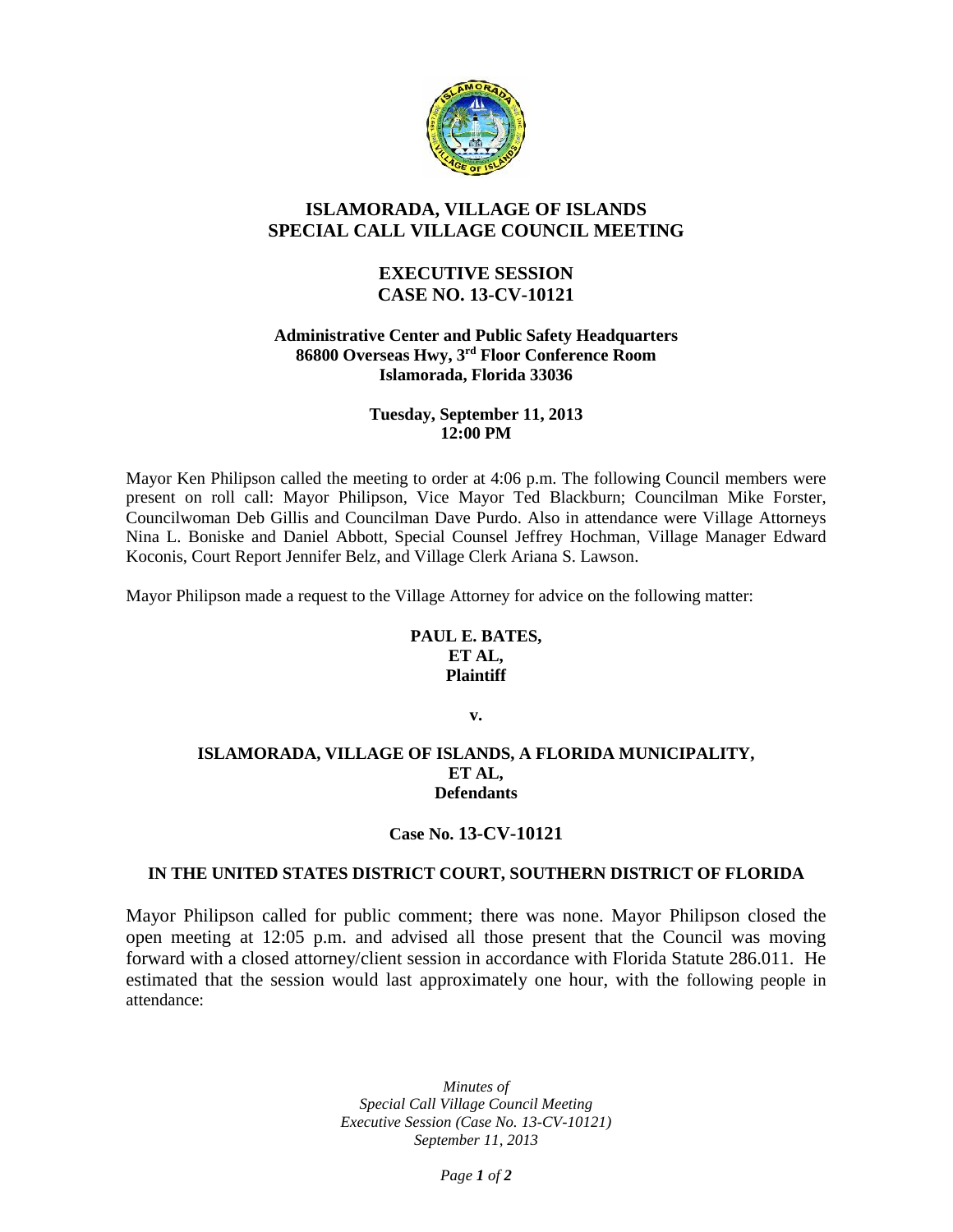

# **ISLAMORADA, VILLAGE OF ISLANDS SPECIAL CALL VILLAGE COUNCIL MEETING**

# **EXECUTIVE SESSION CASE NO. 13-CV-10121**

### **Administrative Center and Public Safety Headquarters 86800 Overseas Hwy, 3rd Floor Conference Room Islamorada, Florida 33036**

### **Tuesday, September 11, 2013 12:00 PM**

Mayor Ken Philipson called the meeting to order at 4:06 p.m. The following Council members were present on roll call: Mayor Philipson, Vice Mayor Ted Blackburn; Councilman Mike Forster, Councilwoman Deb Gillis and Councilman Dave Purdo. Also in attendance were Village Attorneys Nina L. Boniske and Daniel Abbott, Special Counsel Jeffrey Hochman, Village Manager Edward Koconis, Court Report Jennifer Belz, and Village Clerk Ariana S. Lawson.

Mayor Philipson made a request to the Village Attorney for advice on the following matter:

### **PAUL E. BATES, ET AL, Plaintiff**

**v.**

### **ISLAMORADA, VILLAGE OF ISLANDS, A FLORIDA MUNICIPALITY, ET AL, Defendants**

## **Case No. 13-CV-10121**

## **IN THE UNITED STATES DISTRICT COURT, SOUTHERN DISTRICT OF FLORIDA**

Mayor Philipson called for public comment; there was none. Mayor Philipson closed the open meeting at 12:05 p.m. and advised all those present that the Council was moving forward with a closed attorney/client session in accordance with Florida Statute 286.011. He estimated that the session would last approximately one hour, with the following people in attendance:

> *Minutes of Special Call Village Council Meeting Executive Session (Case No. 13-CV-10121) September 11, 2013*